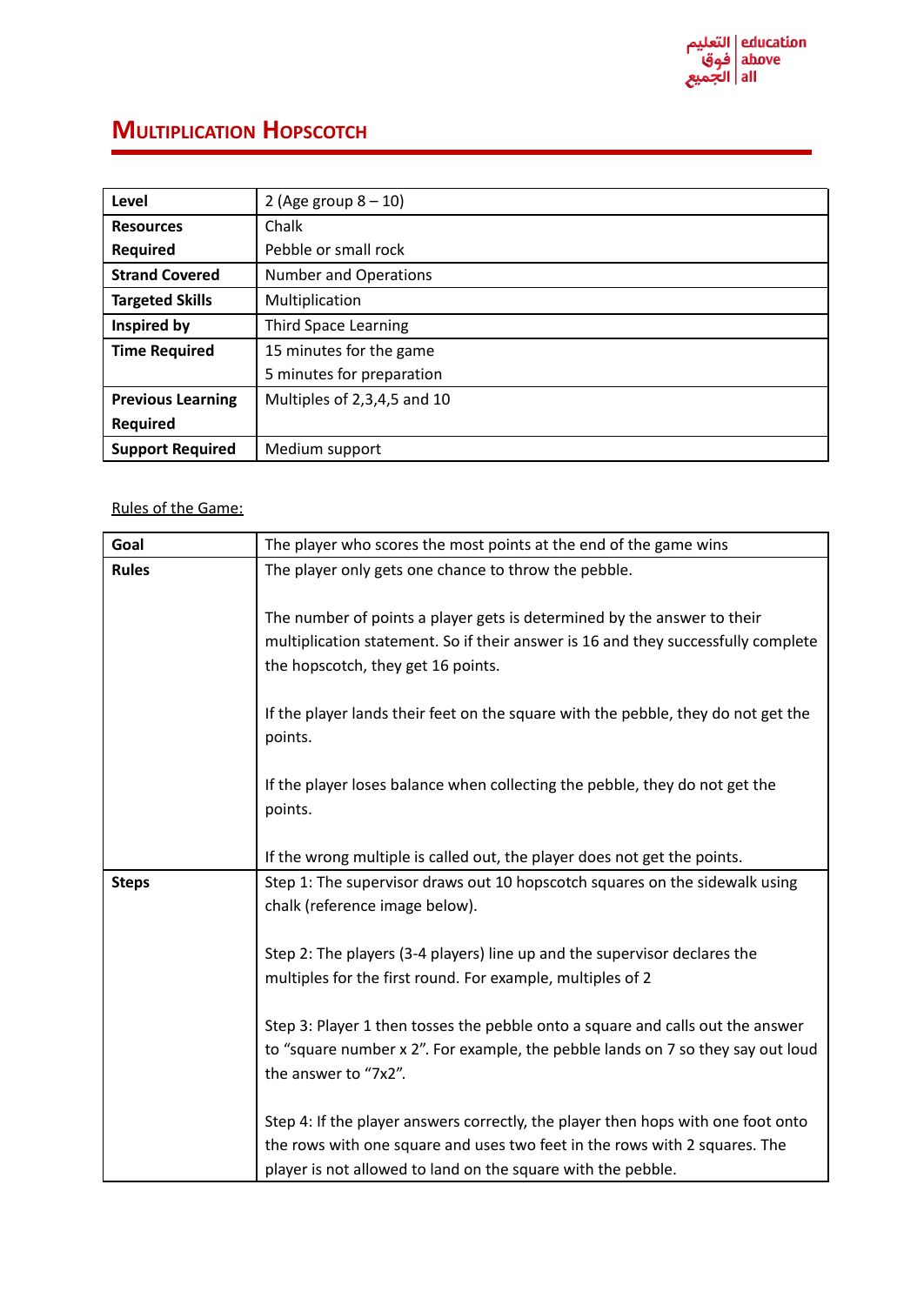

## **MULTIPLICATION HOPSCOTCH**

| Level                    | 2 (Age group $8-10$ )        |
|--------------------------|------------------------------|
| <b>Resources</b>         | Chalk                        |
| Required                 | Pebble or small rock         |
| <b>Strand Covered</b>    | <b>Number and Operations</b> |
| <b>Targeted Skills</b>   | Multiplication               |
| Inspired by              | <b>Third Space Learning</b>  |
| <b>Time Required</b>     | 15 minutes for the game      |
|                          | 5 minutes for preparation    |
| <b>Previous Learning</b> | Multiples of 2,3,4,5 and 10  |
| <b>Required</b>          |                              |
| <b>Support Required</b>  | Medium support               |

## Rules of the Game:

| Goal         | The player who scores the most points at the end of the game wins                                                                                                 |
|--------------|-------------------------------------------------------------------------------------------------------------------------------------------------------------------|
| <b>Rules</b> | The player only gets one chance to throw the pebble.                                                                                                              |
|              |                                                                                                                                                                   |
|              | The number of points a player gets is determined by the answer to their                                                                                           |
|              | multiplication statement. So if their answer is 16 and they successfully complete                                                                                 |
|              | the hopscotch, they get 16 points.                                                                                                                                |
|              |                                                                                                                                                                   |
|              | If the player lands their feet on the square with the pebble, they do not get the                                                                                 |
|              | points.                                                                                                                                                           |
|              | If the player loses balance when collecting the pebble, they do not get the                                                                                       |
|              | points.                                                                                                                                                           |
|              |                                                                                                                                                                   |
|              | If the wrong multiple is called out, the player does not get the points.                                                                                          |
| <b>Steps</b> | Step 1: The supervisor draws out 10 hopscotch squares on the sidewalk using                                                                                       |
|              | chalk (reference image below).                                                                                                                                    |
|              |                                                                                                                                                                   |
|              | Step 2: The players (3-4 players) line up and the supervisor declares the                                                                                         |
|              | multiples for the first round. For example, multiples of 2                                                                                                        |
|              |                                                                                                                                                                   |
|              | Step 3: Player 1 then tosses the pebble onto a square and calls out the answer<br>to "square number x 2". For example, the pebble lands on 7 so they say out loud |
|              | the answer to "7x2".                                                                                                                                              |
|              |                                                                                                                                                                   |
|              | Step 4: If the player answers correctly, the player then hops with one foot onto                                                                                  |
|              | the rows with one square and uses two feet in the rows with 2 squares. The                                                                                        |
|              | player is not allowed to land on the square with the pebble.                                                                                                      |